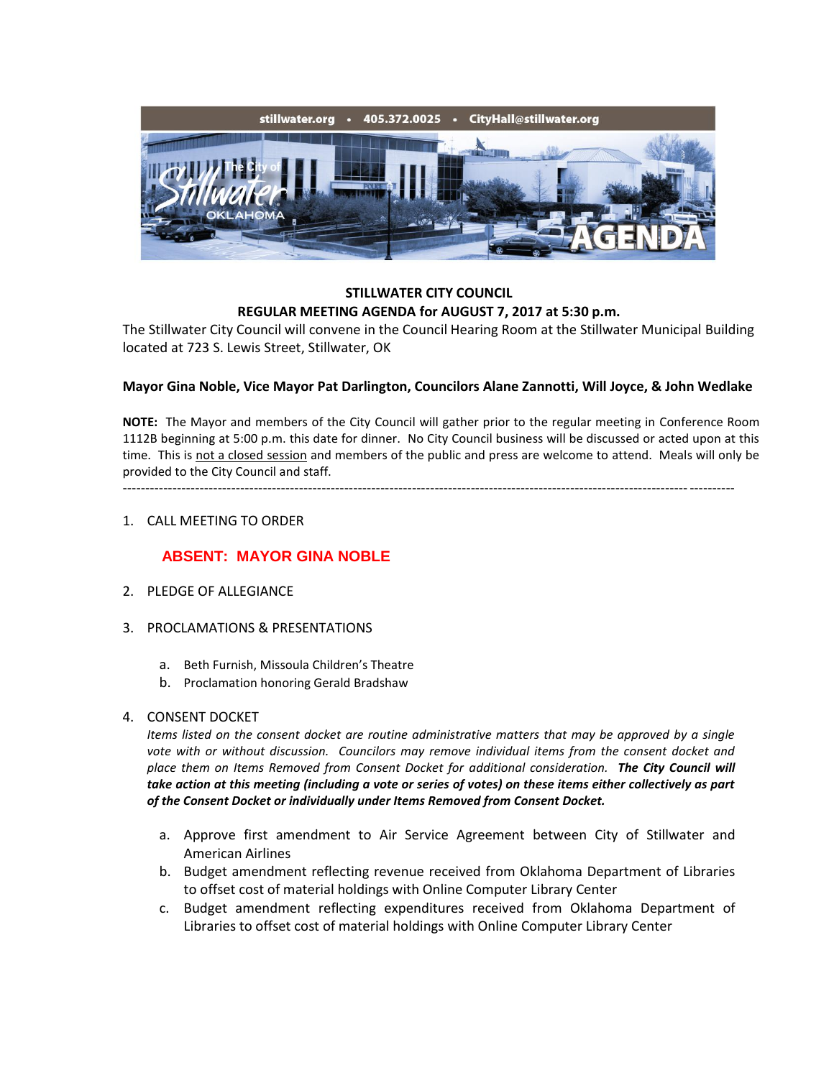

## **STILLWATER CITY COUNCIL REGULAR MEETING AGENDA for AUGUST 7, 2017 at 5:30 p.m.**

The Stillwater City Council will convene in the Council Hearing Room at the Stillwater Municipal Building located at 723 S. Lewis Street, Stillwater, OK

## **Mayor Gina Noble, Vice Mayor Pat Darlington, Councilors Alane Zannotti, Will Joyce, & John Wedlake**

**NOTE:** The Mayor and members of the City Council will gather prior to the regular meeting in Conference Room 1112B beginning at 5:00 p.m. this date for dinner. No City Council business will be discussed or acted upon at this time. This is not a closed session and members of the public and press are welcome to attend. Meals will only be provided to the City Council and staff.

---------------------------------------------------------------------------------------------------------------------------------------

#### 1. CALL MEETING TO ORDER

## **ABSENT: MAYOR GINA NOBLE**

- 2. PLEDGE OF ALLEGIANCE
- 3. PROCLAMATIONS & PRESENTATIONS
	- a. Beth Furnish, Missoula Children's Theatre
	- b. Proclamation honoring Gerald Bradshaw

#### 4. CONSENT DOCKET

*Items listed on the consent docket are routine administrative matters that may be approved by a single vote with or without discussion. Councilors may remove individual items from the consent docket and place them on Items Removed from Consent Docket for additional consideration. The City Council will take action at this meeting (including a vote or series of votes) on these items either collectively as part of the Consent Docket or individually under Items Removed from Consent Docket.*

- a. Approve first amendment to Air Service Agreement between City of Stillwater and American Airlines
- b. Budget amendment reflecting revenue received from Oklahoma Department of Libraries to offset cost of material holdings with Online Computer Library Center
- c. Budget amendment reflecting expenditures received from Oklahoma Department of Libraries to offset cost of material holdings with Online Computer Library Center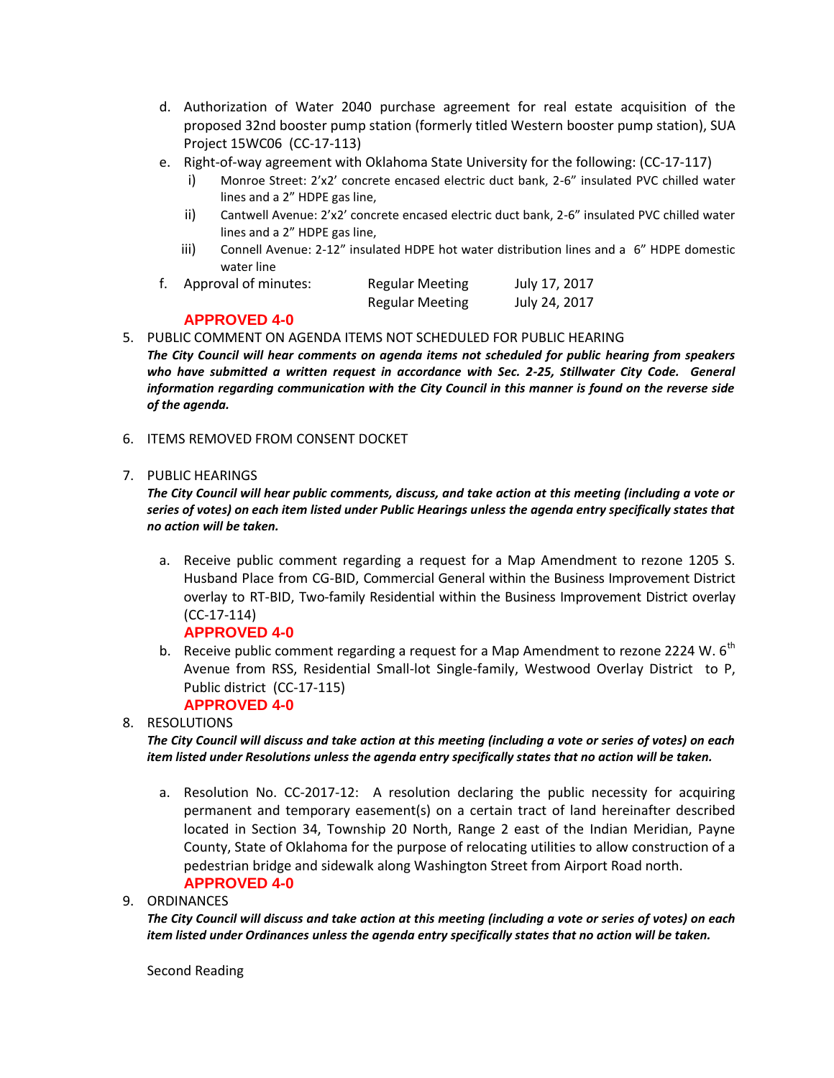- d. Authorization of Water 2040 purchase agreement for real estate acquisition of the proposed 32nd booster pump station (formerly titled Western booster pump station), SUA Project 15WC06 (CC-17-113)
- e. Right-of-way agreement with Oklahoma State University for the following: (CC-17-117)
	- i) Monroe Street: 2'x2' concrete encased electric duct bank, 2-6" insulated PVC chilled water lines and a 2" HDPE gas line,
	- ii) Cantwell Avenue: 2'x2' concrete encased electric duct bank, 2-6" insulated PVC chilled water lines and a 2" HDPE gas line,
	- iii) Connell Avenue: 2-12" insulated HDPE hot water distribution lines and a 6" HDPE domestic water line

|  | Approval of minutes: | <b>Regular Meeting</b> | July 17, 2017 |
|--|----------------------|------------------------|---------------|
|  |                      | <b>Regular Meeting</b> | July 24, 2017 |

# **APPROVED 4-0**

5. PUBLIC COMMENT ON AGENDA ITEMS NOT SCHEDULED FOR PUBLIC HEARING

*The City Council will hear comments on agenda items not scheduled for public hearing from speakers*  who have submitted a written request in accordance with Sec. 2-25, Stillwater City Code. General *information regarding communication with the City Council in this manner is found on the reverse side of the agenda.*

6. ITEMS REMOVED FROM CONSENT DOCKET

## 7. PUBLIC HEARINGS

*The City Council will hear public comments, discuss, and take action at this meeting (including a vote or series of votes) on each item listed under Public Hearings unless the agenda entry specifically states that no action will be taken.*

- a. Receive public comment regarding a request for a Map Amendment to rezone 1205 S. Husband Place from CG-BID, Commercial General within the Business Improvement District overlay to RT-BID, Two-family Residential within the Business Improvement District overlay (CC-17-114) **APPROVED 4-0**
- b. Receive public comment regarding a request for a Map Amendment to rezone 2224 W.  $6<sup>th</sup>$ Avenue from RSS, Residential Small-lot Single-family, Westwood Overlay District to P, Public district (CC-17-115)

# **APPROVED 4-0**

8. RESOLUTIONS

*The City Council will discuss and take action at this meeting (including a vote or series of votes) on each item listed under Resolutions unless the agenda entry specifically states that no action will be taken.*

- a. Resolution No. CC-2017-12: A resolution declaring the public necessity for acquiring permanent and temporary easement(s) on a certain tract of land hereinafter described located in Section 34, Township 20 North, Range 2 east of the Indian Meridian, Payne County, State of Oklahoma for the purpose of relocating utilities to allow construction of a pedestrian bridge and sidewalk along Washington Street from Airport Road north. **APPROVED 4-0**
- 9. ORDINANCES

*The City Council will discuss and take action at this meeting (including a vote or series of votes) on each item listed under Ordinances unless the agenda entry specifically states that no action will be taken.*

Second Reading